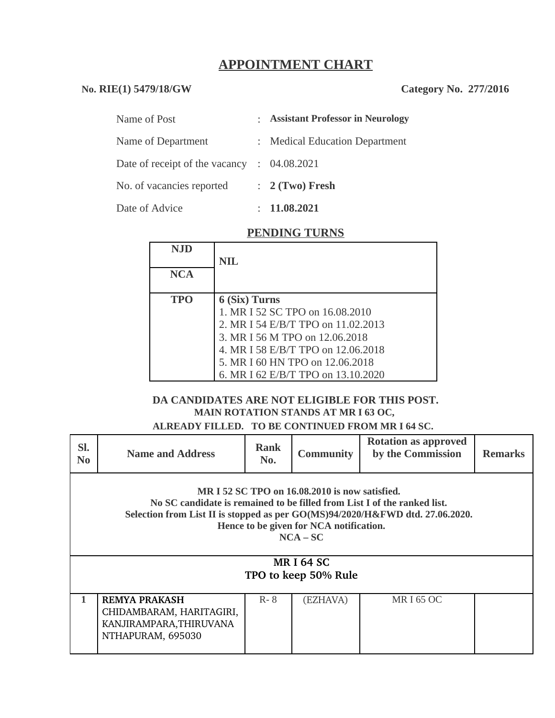# **APPOINTMENT CHART**

### **No. RIE(1) 5479/18/GW Category No. 277/2016**

| Name of Post                   | : Assistant Professor in Neurology |
|--------------------------------|------------------------------------|
| Name of Department             | : Medical Education Department     |
| Date of receipt of the vacancy | : 04.08.2021                       |
| No. of vacancies reported      | $: 2$ (Two) Fresh                  |
| Date of Advice                 | 11.08.2021                         |

#### **PENDING TURNS**

| NJD        |                                    |
|------------|------------------------------------|
|            | <b>NIL</b>                         |
| <b>NCA</b> |                                    |
|            |                                    |
| <b>TPO</b> | 6 (Six) Turns                      |
|            | 1. MR I 52 SC TPO on 16.08.2010    |
|            | 2. MR I 54 E/B/T TPO on 11.02.2013 |
|            | 3. MR I 56 M TPO on 12.06.2018     |
|            | 4. MR I 58 E/B/T TPO on 12.06.2018 |
|            | 5. MR I 60 HN TPO on 12.06.2018    |
|            | 6. MR I 62 E/B/T TPO on 13.10.2020 |

### **DA CANDIDATES ARE NOT ELIGIBLE FOR THIS POST. MAIN ROTATION STANDS AT MR I 63 OC,**

**ALREADY FILLED. TO BE CONTINUED FROM MR I 64 SC.** 

| SI.<br>N <sub>0</sub>                                                                                                                                                                                                                                                | <b>Name and Address</b>                                                                          | <b>Rank</b><br>No. | <b>Community</b> | <b>Rotation as approved</b><br>by the Commission | <b>Remarks</b> |  |  |  |  |
|----------------------------------------------------------------------------------------------------------------------------------------------------------------------------------------------------------------------------------------------------------------------|--------------------------------------------------------------------------------------------------|--------------------|------------------|--------------------------------------------------|----------------|--|--|--|--|
| MR I 52 SC TPO on 16.08.2010 is now satisfied.<br>No SC candidate is remained to be filled from List I of the ranked list.<br>Selection from List II is stopped as per GO(MS)94/2020/H&FWD dtd. 27.06.2020.<br>Hence to be given for NCA notification.<br>$NCA - SC$ |                                                                                                  |                    |                  |                                                  |                |  |  |  |  |
| <b>MRI64 SC</b><br>TPO to keep 50% Rule                                                                                                                                                                                                                              |                                                                                                  |                    |                  |                                                  |                |  |  |  |  |
|                                                                                                                                                                                                                                                                      | <b>REMYA PRAKASH</b><br>CHIDAMBARAM, HARITAGIRI,<br>KANJIRAMPARA, THIRUVANA<br>NTHAPURAM, 695030 | $R - 8$            | (EZHAVA)         | MR I 65 OC                                       |                |  |  |  |  |